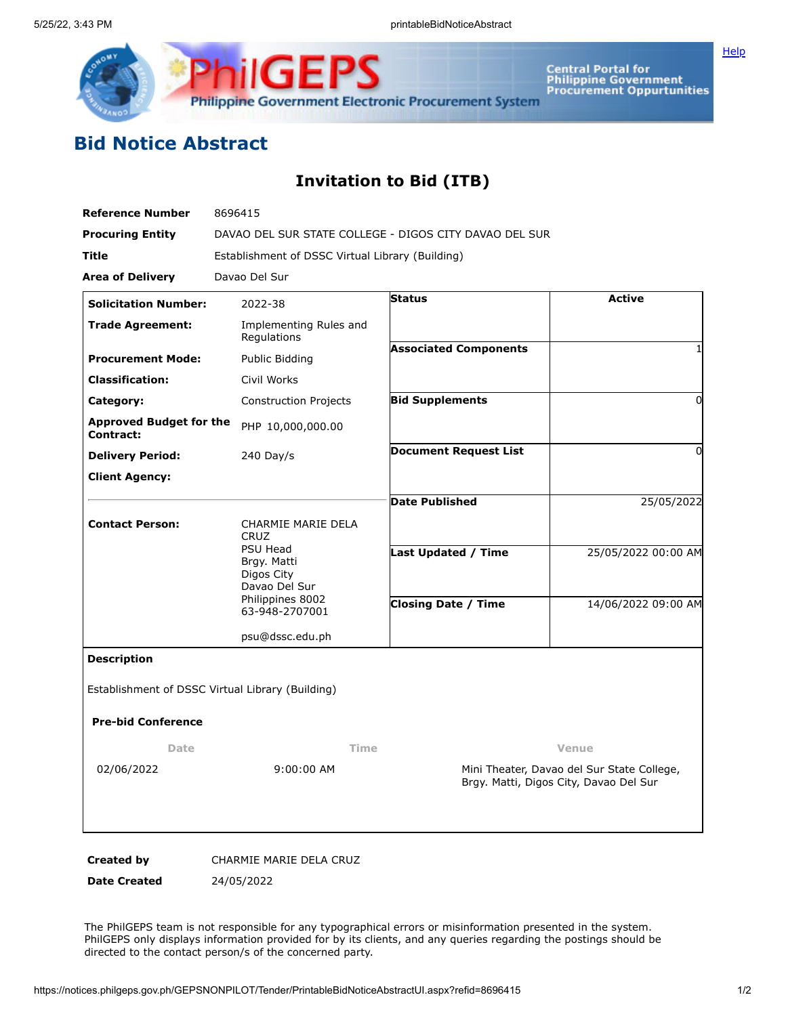

Central Portal for<br>Philippine Government<br>Procurement Oppurtunities

## **Bid Notice Abstract**

## **Invitation to Bid (ITB)**

| <b>Reference Number</b>                     | 8696415                                                                                                                                  |                                                                                      |                     |
|---------------------------------------------|------------------------------------------------------------------------------------------------------------------------------------------|--------------------------------------------------------------------------------------|---------------------|
| <b>Procuring Entity</b>                     | DAVAO DEL SUR STATE COLLEGE - DIGOS CITY DAVAO DEL SUR                                                                                   |                                                                                      |                     |
| Title                                       | Establishment of DSSC Virtual Library (Building)                                                                                         |                                                                                      |                     |
| <b>Area of Delivery</b>                     | Davao Del Sur                                                                                                                            |                                                                                      |                     |
| <b>Solicitation Number:</b>                 | 2022-38                                                                                                                                  | <b>Status</b>                                                                        | <b>Active</b>       |
| <b>Trade Agreement:</b>                     | Implementing Rules and<br>Regulations                                                                                                    |                                                                                      |                     |
| <b>Procurement Mode:</b>                    | Public Bidding                                                                                                                           | <b>Associated Components</b>                                                         |                     |
| <b>Classification:</b>                      | Civil Works                                                                                                                              |                                                                                      |                     |
| Category:                                   | <b>Construction Projects</b>                                                                                                             | <b>Bid Supplements</b>                                                               | 0                   |
| <b>Approved Budget for the</b><br>Contract: | PHP 10,000,000.00                                                                                                                        |                                                                                      |                     |
| <b>Delivery Period:</b>                     | $240$ Day/s                                                                                                                              | <b>Document Request List</b>                                                         | 0                   |
| <b>Client Agency:</b>                       |                                                                                                                                          |                                                                                      |                     |
|                                             |                                                                                                                                          | Date Published                                                                       | 25/05/2022          |
| <b>Contact Person:</b>                      | CHARMIE MARIE DELA<br><b>CRUZ</b><br><b>PSU Head</b><br>Brgy. Matti<br>Digos City<br>Davao Del Sur<br>Philippines 8002<br>63-948-2707001 |                                                                                      |                     |
|                                             |                                                                                                                                          | Last Updated / Time                                                                  | 25/05/2022 00:00 AM |
|                                             |                                                                                                                                          | <b>Closing Date / Time</b>                                                           | 14/06/2022 09:00 AM |
|                                             | psu@dssc.edu.ph                                                                                                                          |                                                                                      |                     |
| <b>Description</b>                          |                                                                                                                                          |                                                                                      |                     |
|                                             | Establishment of DSSC Virtual Library (Building)                                                                                         |                                                                                      |                     |
| <b>Pre-bid Conference</b>                   |                                                                                                                                          |                                                                                      |                     |
| Time<br>Date                                |                                                                                                                                          | Venue                                                                                |                     |
| 02/06/2022                                  | 9:00:00 AM                                                                                                                               | Mini Theater, Davao del Sur State College,<br>Brgy. Matti, Digos City, Davao Del Sur |                     |
|                                             |                                                                                                                                          |                                                                                      |                     |
| <b>Created by</b>                           | CHARMIE MARIE DELA CRUZ                                                                                                                  |                                                                                      |                     |

**Date Created** 24/05/2022

The PhilGEPS team is not responsible for any typographical errors or misinformation presented in the system. PhilGEPS only displays information provided for by its clients, and any queries regarding the postings should be directed to the contact person/s of the concerned party.